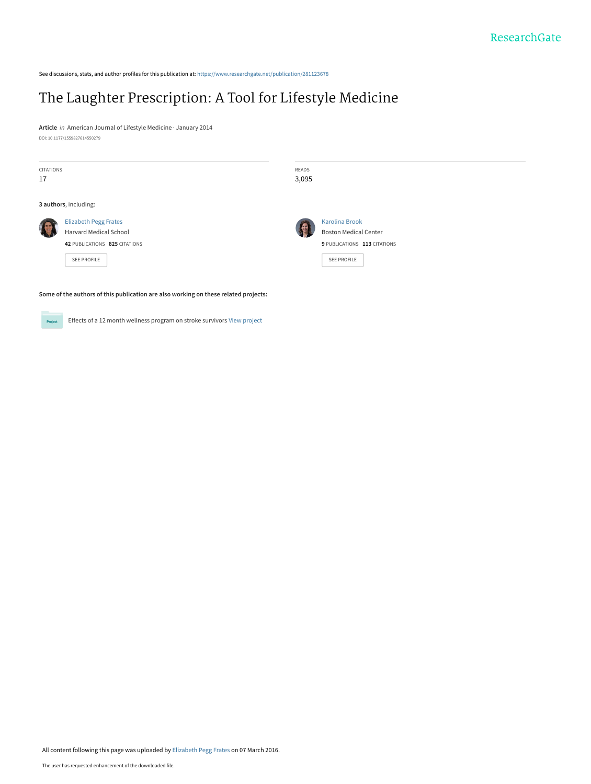See discussions, stats, and author profiles for this publication at: [https://www.researchgate.net/publication/281123678](https://www.researchgate.net/publication/281123678_The_Laughter_Prescription_A_Tool_for_Lifestyle_Medicine?enrichId=rgreq-0d3c0378b60f0078574a8155d88a03dd-XXX&enrichSource=Y292ZXJQYWdlOzI4MTEyMzY3ODtBUzozMzcwMzc5Mzc5MjIwNTdAMTQ1NzM2NzUxNDc1OA%3D%3D&el=1_x_2&_esc=publicationCoverPdf)

# [The Laughter Prescription: A Tool for Lifestyle Medicine](https://www.researchgate.net/publication/281123678_The_Laughter_Prescription_A_Tool_for_Lifestyle_Medicine?enrichId=rgreq-0d3c0378b60f0078574a8155d88a03dd-XXX&enrichSource=Y292ZXJQYWdlOzI4MTEyMzY3ODtBUzozMzcwMzc5Mzc5MjIwNTdAMTQ1NzM2NzUxNDc1OA%3D%3D&el=1_x_3&_esc=publicationCoverPdf)

**Article** in American Journal of Lifestyle Medicine · January 2014 DOI: 10.1177/1559827614550279

| <b>CITATIONS</b><br>17                                                              |                                                                                                                      | READS<br>3,095 |                                                                                                             |
|-------------------------------------------------------------------------------------|----------------------------------------------------------------------------------------------------------------------|----------------|-------------------------------------------------------------------------------------------------------------|
| 3 authors, including:                                                               |                                                                                                                      |                |                                                                                                             |
|                                                                                     | <b>Elizabeth Pegg Frates</b><br><b>Harvard Medical School</b><br>42 PUBLICATIONS 825 CITATIONS<br><b>SEE PROFILE</b> |                | <b>Karolina Brook</b><br><b>Boston Medical Center</b><br>9 PUBLICATIONS 113 CITATIONS<br><b>SEE PROFILE</b> |
| Some of the authors of this publication are also working on these related projects: |                                                                                                                      |                |                                                                                                             |



Effects of a 12 month wellness program on stroke survivors [View project](https://www.researchgate.net/project/Effects-of-a-12-month-wellness-program-on-stroke-survivors?enrichId=rgreq-0d3c0378b60f0078574a8155d88a03dd-XXX&enrichSource=Y292ZXJQYWdlOzI4MTEyMzY3ODtBUzozMzcwMzc5Mzc5MjIwNTdAMTQ1NzM2NzUxNDc1OA%3D%3D&el=1_x_9&_esc=publicationCoverPdf)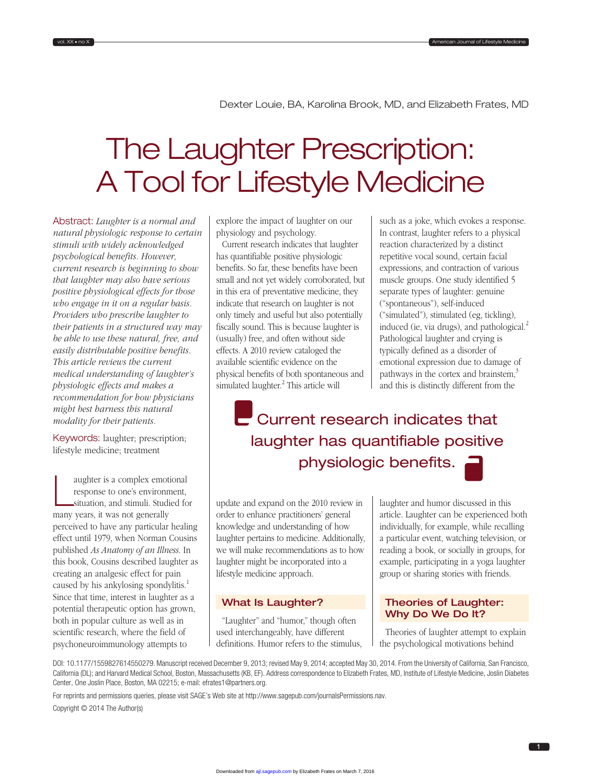Dexter Louie, BA, Karolina Brook, MD, and Elizabeth Frates, MD

# The Laughter Prescription: A Tool for Lifestyle Medicine

Abstract: *Laughter is a normal and natural physiologic response to certain stimuli with widely acknowledged psychological benefits. However, current research is beginning to show that laughter may also have serious positive physiological effects for those who engage in it on a regular basis. Providers who prescribe laughter to their patients in a structured way may be able to use these natural, free, and easily distributable positive benefits. This article reviews the current medical understanding of laughter's physiologic effects and makes a recommendation for how physicians might best harness this natural modality for their patients.*

Keywords: laughter; prescription; lifestyle medicine; treatment

aughter is a complex emotional<br>response to one's environment,<br>situation, and stimuli. Studied for response to one's environment, many years, it was not generally perceived to have any particular healing effect until 1979, when Norman Cousins published *As Anatomy of an Illness*. In this book, Cousins described laughter as creating an analgesic effect for pain caused by his ankylosing spondylitis.<sup>1</sup> Since that time, interest in laughter as a potential therapeutic option has grown, both in popular culture as well as in scientific research, where the field of psychoneuroimmunology attempts to

explore the impact of laughter on our physiology and psychology.

Current research indicates that laughter has quantifiable positive physiologic benefits. So far, these benefits have been small and not yet widely corroborated, but in this era of preventative medicine, they indicate that research on laughter is not only timely and useful but also potentially fiscally sound. This is because laughter is (usually) free, and often without side effects. A 2010 review cataloged the available scientific evidence on the physical benefits of both spontaneous and simulated laughter.<sup>2</sup> This article will

such as a joke, which evokes a response. In contrast, laughter refers to a physical reaction characterized by a distinct repetitive vocal sound, certain facial expressions, and contraction of various muscle groups. One study identified 5 separate types of laughter: genuine ("spontaneous"), self-induced ("simulated"), stimulated (eg, tickling), induced (ie, via drugs), and pathological.<sup>2</sup> Pathological laughter and crying is typically defined as a disorder of emotional expression due to damage of pathways in the cortex and brainstem, $3$ and this is distinctly different from the

Current research indicates that laughter has quantifiable positive physiologic benefits.



update and expand on the 2010 review in order to enhance practitioners' general knowledge and understanding of how laughter pertains to medicine. Additionally, we will make recommendations as to how laughter might be incorporated into a lifestyle medicine approach.

#### What Is Laughter?

"Laughter" and "humor," though often used interchangeably, have different definitions. Humor refers to the stimulus, laughter and humor discussed in this article. Laughter can be experienced both individually, for example, while recalling a particular event, watching television, or reading a book, or socially in groups, for example, participating in a yoga laughter group or sharing stories with friends.

#### Theories of Laughter: Why Do We Do It?

Theories of laughter attempt to explain the psychological motivations behind

DOI: 10.1177/1559827614550279.Manuscript received December 9, 2013; revised May 9, 2014; accepted May 30, 2014. From the University of California, San Francisco, California (DL); and Harvard Medical School, Boston, Massachusetts (KB, EF). Address correspondence to Elizabeth Frates, MD, Institute of Lifestyle Medicine, Joslin Diabetes Center, One Joslin Place, Boston, MA 02215; e-mail: [efrates1@partners.org.](mailto:efrates1@partners.org)

For reprints and permissions queries, please visit SAGE's Web site at [http://www.sagepub.com/journalsPermissions.nav.](http://www.sagepub.com/journalsPermissions.nav)

Copyright © 2014 The Author(s)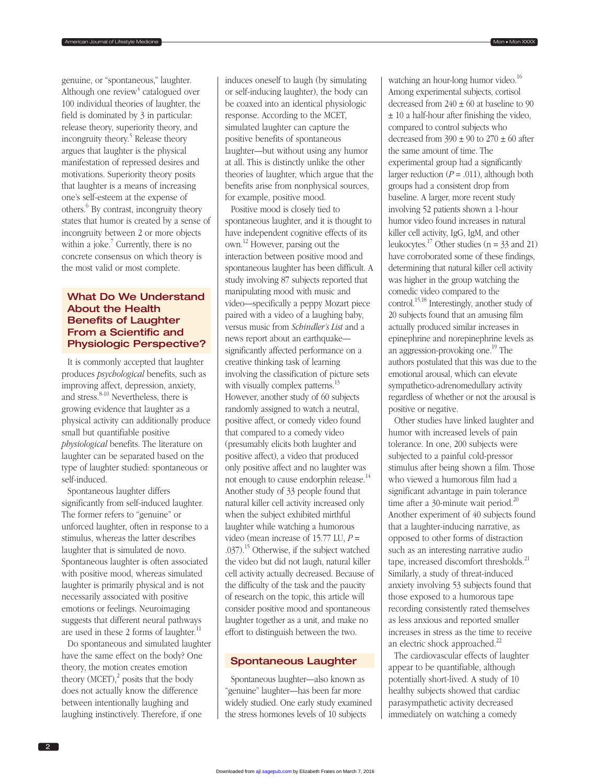genuine, or "spontaneous," laughter. Although one review<sup>4</sup> catalogued over 100 individual theories of laughter, the field is dominated by 3 in particular: release theory, superiority theory, and incongruity theory.<sup>5</sup> Release theory argues that laughter is the physical manifestation of repressed desires and motivations. Superiority theory posits that laughter is a means of increasing one's self-esteem at the expense of others.<sup>6</sup> By contrast, incongruity theory states that humor is created by a sense of incongruity between 2 or more objects within a joke.<sup>7</sup> Currently, there is no concrete consensus on which theory is the most valid or most complete.

# What Do We Understand About the Health Benefits of Laughter From a Scientific and Physiologic Perspective?

It is commonly accepted that laughter produces *psychological* benefits, such as improving affect, depression, anxiety, and stress. $8-10$  Nevertheless, there is growing evidence that laughter as a physical activity can additionally produce small but quantifiable positive *physiological* benefits. The literature on laughter can be separated based on the type of laughter studied: spontaneous or self-induced.

Spontaneous laughter differs significantly from self-induced laughter. The former refers to "genuine" or unforced laughter, often in response to a stimulus, whereas the latter describes laughter that is simulated de novo. Spontaneous laughter is often associated with positive mood, whereas simulated laughter is primarily physical and is not necessarily associated with positive emotions or feelings. Neuroimaging suggests that different neural pathways are used in these 2 forms of laughter.<sup>11</sup>

Do spontaneous and simulated laughter have the same effect on the body? One theory, the motion creates emotion theory  $(MCET)$ , posits that the body does not actually know the difference between intentionally laughing and laughing instinctively. Therefore, if one

2

induces oneself to laugh (by simulating or self-inducing laughter), the body can be coaxed into an identical physiologic response. According to the MCET, simulated laughter can capture the positive benefits of spontaneous laughter—but without using any humor at all. This is distinctly unlike the other theories of laughter, which argue that the benefits arise from nonphysical sources, for example, positive mood.

Positive mood is closely tied to spontaneous laughter, and it is thought to have independent cognitive effects of its own.12 However, parsing out the interaction between positive mood and spontaneous laughter has been difficult. A study involving 87 subjects reported that manipulating mood with music and video—specifically a peppy Mozart piece paired with a video of a laughing baby, versus music from *Schindler's List* and a news report about an earthquake significantly affected performance on a creative thinking task of learning involving the classification of picture sets with visually complex patterns.<sup>13</sup> However, another study of 60 subjects randomly assigned to watch a neutral, positive affect, or comedy video found that compared to a comedy video (presumably elicits both laughter and positive affect), a video that produced only positive affect and no laughter was not enough to cause endorphin release.<sup>14</sup> Another study of 33 people found that natural killer cell activity increased only when the subject exhibited mirthful laughter while watching a humorous video (mean increase of 15.77 LU, *P* = .037).15 Otherwise, if the subject watched the video but did not laugh, natural killer cell activity actually decreased. Because of the difficulty of the task and the paucity of research on the topic, this article will consider positive mood and spontaneous laughter together as a unit, and make no effort to distinguish between the two.

#### Spontaneous Laughter

Spontaneous laughter—also known as "genuine" laughter—has been far more widely studied. One early study examined the stress hormones levels of 10 subjects

watching an hour-long humor video.<sup>16</sup> Among experimental subjects, cortisol decreased from  $240 \pm 60$  at baseline to 90 ± 10 a half-hour after finishing the video, compared to control subjects who decreased from  $390 \pm 90$  to  $270 \pm 60$  after the same amount of time. The experimental group had a significantly larger reduction  $(P = .011)$ , although both groups had a consistent drop from baseline. A larger, more recent study involving 52 patients shown a 1-hour humor video found increases in natural killer cell activity, IgG, IgM, and other leukocytes.<sup>17</sup> Other studies ( $n = 33$  and 21) have corroborated some of these findings, determining that natural killer cell activity was higher in the group watching the comedic video compared to the control.15,18 Interestingly, another study of 20 subjects found that an amusing film actually produced similar increases in epinephrine and norepinephrine levels as an aggression-provoking one.19 The authors postulated that this was due to the emotional arousal, which can elevate sympathetico-adrenomedullary activity regardless of whether or not the arousal is positive or negative.

Other studies have linked laughter and humor with increased levels of pain tolerance. In one, 200 subjects were subjected to a painful cold-pressor stimulus after being shown a film. Those who viewed a humorous film had a significant advantage in pain tolerance time after a 30-minute wait period. $^{20}$ Another experiment of 40 subjects found that a laughter-inducing narrative, as opposed to other forms of distraction such as an interesting narrative audio tape, increased discomfort thresholds.<sup>21</sup> Similarly, a study of threat-induced anxiety involving 53 subjects found that those exposed to a humorous tape recording consistently rated themselves as less anxious and reported smaller increases in stress as the time to receive an electric shock approached.<sup>22</sup>

The cardiovascular effects of laughter appear to be quantifiable, although potentially short-lived. A study of 10 healthy subjects showed that cardiac parasympathetic activity decreased immediately on watching a comedy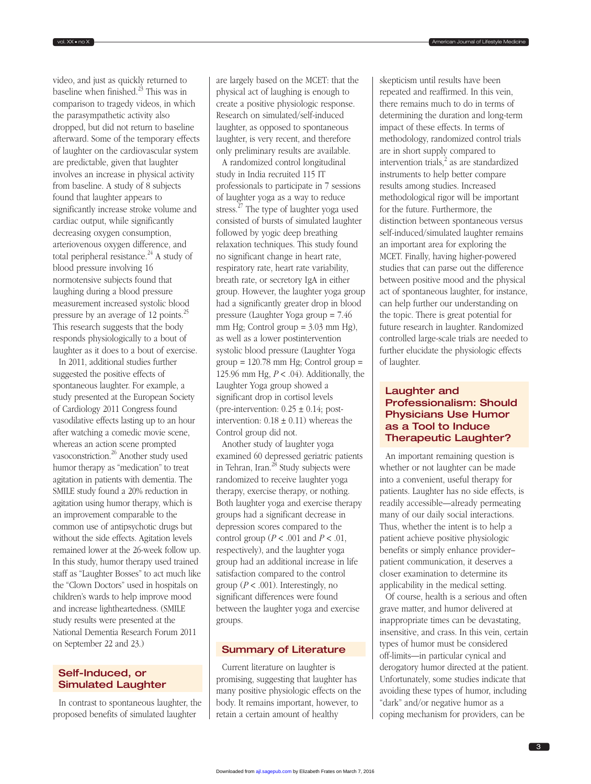video, and just as quickly returned to baseline when finished.<sup>23</sup> This was in comparison to tragedy videos, in which the parasympathetic activity also dropped, but did not return to baseline afterward. Some of the temporary effects of laughter on the cardiovascular system are predictable, given that laughter involves an increase in physical activity from baseline. A study of 8 subjects found that laughter appears to significantly increase stroke volume and cardiac output, while significantly decreasing oxygen consumption, arteriovenous oxygen difference, and total peripheral resistance.<sup>24</sup> A study of blood pressure involving 16 normotensive subjects found that laughing during a blood pressure measurement increased systolic blood pressure by an average of 12 points.<sup>25</sup> This research suggests that the body responds physiologically to a bout of laughter as it does to a bout of exercise.

In 2011, additional studies further suggested the positive effects of spontaneous laughter. For example, a study presented at the European Society of Cardiology 2011 Congress found vasodilative effects lasting up to an hour after watching a comedic movie scene, whereas an action scene prompted vasoconstriction.<sup>26</sup> Another study used humor therapy as "medication" to treat agitation in patients with dementia. The SMILE study found a 20% reduction in agitation using humor therapy, which is an improvement comparable to the common use of antipsychotic drugs but without the side effects. Agitation levels remained lower at the 26-week follow up. In this study, humor therapy used trained staff as "Laughter Bosses" to act much like the "Clown Doctors" used in hospitals on children's wards to help improve mood and increase lightheartedness. (SMILE study results were presented at the National Dementia Research Forum 2011 on September 22 and 23.)

#### Self-Induced, or Simulated Laughter

In contrast to spontaneous laughter, the proposed benefits of simulated laughter

are largely based on the MCET: that the physical act of laughing is enough to create a positive physiologic response. Research on simulated/self-induced laughter, as opposed to spontaneous laughter, is very recent, and therefore only preliminary results are available.

A randomized control longitudinal study in India recruited 115 IT professionals to participate in 7 sessions of laughter yoga as a way to reduce stress. $27$  The type of laughter yoga used consisted of bursts of simulated laughter followed by yogic deep breathing relaxation techniques. This study found no significant change in heart rate, respiratory rate, heart rate variability, breath rate, or secretory IgA in either group. However, the laughter yoga group had a significantly greater drop in blood pressure (Laughter Yoga group = 7.46 mm Hg; Control group  $= 3.03$  mm Hg), as well as a lower postintervention systolic blood pressure (Laughter Yoga  $group = 120.78$  mm Hg; Control group = 125.96 mm Hg,  $P < .04$ ). Additionally, the Laughter Yoga group showed a significant drop in cortisol levels (pre-intervention:  $0.25 \pm 0.14$ ; postintervention:  $0.18 \pm 0.11$ ) whereas the Control group did not.

Another study of laughter yoga examined 60 depressed geriatric patients in Tehran, Iran. $^{28}$  Study subjects were randomized to receive laughter yoga therapy, exercise therapy, or nothing. Both laughter yoga and exercise therapy groups had a significant decrease in depression scores compared to the control group ( $P < .001$  and  $P < .01$ , respectively), and the laughter yoga group had an additional increase in life satisfaction compared to the control group ( $P < .001$ ). Interestingly, no significant differences were found between the laughter yoga and exercise groups.

### Summary of Literature

Current literature on laughter is promising, suggesting that laughter has many positive physiologic effects on the body. It remains important, however, to retain a certain amount of healthy

skepticism until results have been repeated and reaffirmed. In this vein, there remains much to do in terms of determining the duration and long-term impact of these effects. In terms of methodology, randomized control trials are in short supply compared to intervention trials, $^2$  as are standardized instruments to help better compare results among studies. Increased methodological rigor will be important for the future. Furthermore, the distinction between spontaneous versus self-induced/simulated laughter remains an important area for exploring the MCET. Finally, having higher-powered studies that can parse out the difference between positive mood and the physical act of spontaneous laughter, for instance, can help further our understanding on the topic. There is great potential for future research in laughter. Randomized controlled large-scale trials are needed to further elucidate the physiologic effects of laughter.

## Laughter and Professionalism: Should Physicians Use Humor as a Tool to Induce Therapeutic Laughter?

An important remaining question is whether or not laughter can be made into a convenient, useful therapy for patients. Laughter has no side effects, is readily accessible—already permeating many of our daily social interactions. Thus, whether the intent is to help a patient achieve positive physiologic benefits or simply enhance provider– patient communication, it deserves a closer examination to determine its applicability in the medical setting.

Of course, health is a serious and often grave matter, and humor delivered at inappropriate times can be devastating, insensitive, and crass. In this vein, certain types of humor must be considered off-limits—in particular cynical and derogatory humor directed at the patient. Unfortunately, some studies indicate that avoiding these types of humor, including "dark" and/or negative humor as a coping mechanism for providers, can be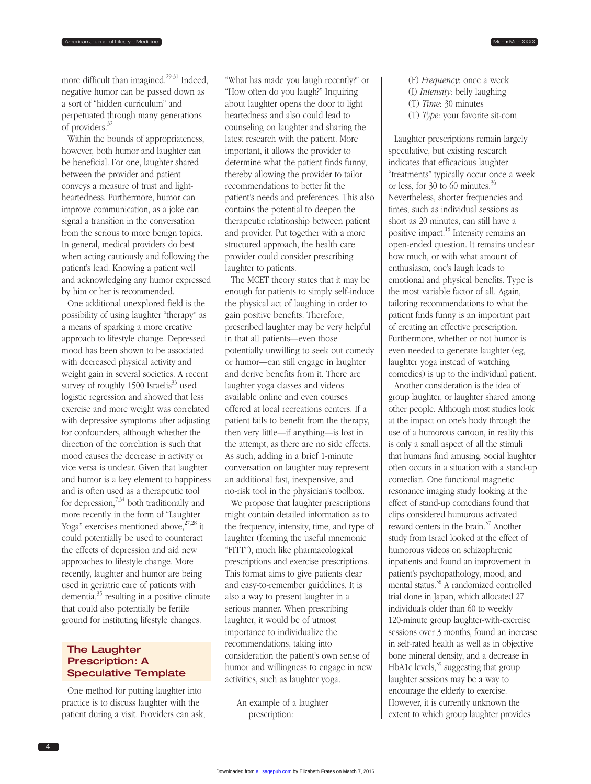an Journal of Lifestyle Medio

more difficult than imagined.<sup>29-31</sup> Indeed, negative humor can be passed down as a sort of "hidden curriculum" and perpetuated through many generations of providers.<sup>32</sup>

Within the bounds of appropriateness, however, both humor and laughter can be beneficial. For one, laughter shared between the provider and patient conveys a measure of trust and lightheartedness. Furthermore, humor can improve communication, as a joke can signal a transition in the conversation from the serious to more benign topics. In general, medical providers do best when acting cautiously and following the patient's lead. Knowing a patient well and acknowledging any humor expressed by him or her is recommended.

One additional unexplored field is the possibility of using laughter "therapy" as a means of sparking a more creative approach to lifestyle change. Depressed mood has been shown to be associated with decreased physical activity and weight gain in several societies. A recent survey of roughly  $1500$  Israelis<sup>33</sup> used logistic regression and showed that less exercise and more weight was correlated with depressive symptoms after adjusting for confounders, although whether the direction of the correlation is such that mood causes the decrease in activity or vice versa is unclear. Given that laughter and humor is a key element to happiness and is often used as a therapeutic tool for depression, $7,34$  both traditionally and more recently in the form of "Laughter Yoga" exercises mentioned above, $27,28$  it could potentially be used to counteract the effects of depression and aid new approaches to lifestyle change. More recently, laughter and humor are being used in geriatric care of patients with dementia, $3<sup>5</sup>$  resulting in a positive climate that could also potentially be fertile ground for instituting lifestyle changes.

### The Laughter Prescription: A Speculative Template

One method for putting laughter into practice is to discuss laughter with the patient during a visit. Providers can ask,

4

"What has made you laugh recently?" or "How often do you laugh?" Inquiring about laughter opens the door to light heartedness and also could lead to counseling on laughter and sharing the latest research with the patient. More important, it allows the provider to determine what the patient finds funny, thereby allowing the provider to tailor recommendations to better fit the patient's needs and preferences. This also contains the potential to deepen the therapeutic relationship between patient and provider. Put together with a more structured approach, the health care provider could consider prescribing laughter to patients.

The MCET theory states that it may be enough for patients to simply self-induce the physical act of laughing in order to gain positive benefits. Therefore, prescribed laughter may be very helpful in that all patients—even those potentially unwilling to seek out comedy or humor—can still engage in laughter and derive benefits from it. There are laughter yoga classes and videos available online and even courses offered at local recreations centers. If a patient fails to benefit from the therapy, then very little—if anything—is lost in the attempt, as there are no side effects. As such, adding in a brief 1-minute conversation on laughter may represent an additional fast, inexpensive, and no-risk tool in the physician's toolbox.

We propose that laughter prescriptions might contain detailed information as to the frequency, intensity, time, and type of laughter (forming the useful mnemonic "FITT"), much like pharmacological prescriptions and exercise prescriptions. This format aims to give patients clear and easy-to-remember guidelines. It is also a way to present laughter in a serious manner. When prescribing laughter, it would be of utmost importance to individualize the recommendations, taking into consideration the patient's own sense of humor and willingness to engage in new activities, such as laughter yoga.

An example of a laughter prescription:

(F) *Frequency*: once a week (I) *Intensity*: belly laughing (T) *Time*: 30 minutes

(T) *Type*: your favorite sit-com

Laughter prescriptions remain largely speculative, but existing research indicates that efficacious laughter "treatments" typically occur once a week or less, for 30 to 60 minutes. $36$ Nevertheless, shorter frequencies and times, such as individual sessions as short as 20 minutes, can still have a positive impact.18 Intensity remains an open-ended question. It remains unclear how much, or with what amount of enthusiasm, one's laugh leads to emotional and physical benefits. Type is the most variable factor of all. Again, tailoring recommendations to what the patient finds funny is an important part of creating an effective prescription. Furthermore, whether or not humor is even needed to generate laughter (eg, laughter yoga instead of watching comedies) is up to the individual patient.

Another consideration is the idea of group laughter, or laughter shared among other people. Although most studies look at the impact on one's body through the use of a humorous cartoon, in reality this is only a small aspect of all the stimuli that humans find amusing. Social laughter often occurs in a situation with a stand-up comedian. One functional magnetic resonance imaging study looking at the effect of stand-up comedians found that clips considered humorous activated reward centers in the brain.<sup>37</sup> Another study from Israel looked at the effect of humorous videos on schizophrenic inpatients and found an improvement in patient's psychopathology, mood, and mental status.38 A randomized controlled trial done in Japan, which allocated 27 individuals older than 60 to weekly 120-minute group laughter-with-exercise sessions over 3 months, found an increase in self-rated health as well as in objective bone mineral density, and a decrease in HbA1c levels, $39$  suggesting that group laughter sessions may be a way to encourage the elderly to exercise. However, it is currently unknown the extent to which group laughter provides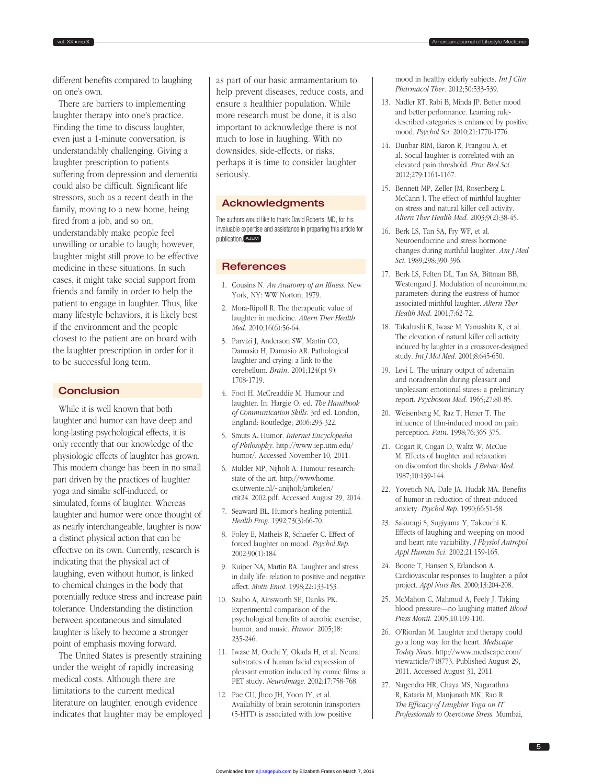different benefits compared to laughing on one's own.

There are barriers to implementing laughter therapy into one's practice. Finding the time to discuss laughter, even just a 1-minute conversation, is understandably challenging. Giving a laughter prescription to patients suffering from depression and dementia could also be difficult. Significant life stressors, such as a recent death in the family, moving to a new home, being fired from a job, and so on, understandably make people feel unwilling or unable to laugh; however, laughter might still prove to be effective medicine in these situations. In such cases, it might take social support from friends and family in order to help the patient to engage in laughter. Thus, like many lifestyle behaviors, it is likely best if the environment and the people closest to the patient are on board with the laughter prescription in order for it to be successful long term.

#### **Conclusion**

While it is well known that both laughter and humor can have deep and long-lasting psychological effects, it is only recently that our knowledge of the physiologic effects of laughter has grown. This modern change has been in no small part driven by the practices of laughter yoga and similar self-induced, or simulated, forms of laughter. Whereas laughter and humor were once thought of as nearly interchangeable, laughter is now a distinct physical action that can be effective on its own. Currently, research is indicating that the physical act of laughing, even without humor, is linked to chemical changes in the body that potentially reduce stress and increase pain tolerance. Understanding the distinction between spontaneous and simulated laughter is likely to become a stronger point of emphasis moving forward.

The United States is presently straining under the weight of rapidly increasing medical costs. Although there are limitations to the current medical literature on laughter, enough evidence indicates that laughter may be employed as part of our basic armamentarium to help prevent diseases, reduce costs, and ensure a healthier population. While more research must be done, it is also important to acknowledge there is not much to lose in laughing. With no downsides, side-effects, or risks, perhaps it is time to consider laughter seriously.

#### Acknowledgments

The authors would like to thank David Roberts, MD, for his invaluable expertise and assistance in preparing this article for publication. AJLM

#### **References**

- 1. Cousins N. *An Anatomy of an Illness*. New York, NY: WW Norton; 1979.
- 2. Mora-Ripoll R. The therapeutic value of laughter in medicine. *Altern Ther Health Med*. 2010;16(6):56-64.
- 3. Parvizi J, Anderson SW, Martin CO, Damasio H, Damasio AR. Pathological laughter and crying: a link to the cerebellum. *Brain*. 2001;124(pt 9): 1708-1719.
- 4. Foot H, McCreaddie M. Humour and laughter. In: Hargie O, ed. *The Handbook of Communication Skills*. 3rd ed. London, England: Routledge; 2006:293-322.
- 5. Smuts A. Humor. *Internet Encyclopedia of Philosophy*. [http://www.iep.utm.edu/](http://www.iep.utm.edu/humor/) [humor/](http://www.iep.utm.edu/humor/). Accessed November 10, 2011.
- 6. Mulder MP, Nijholt A. Humour research: state of the art. [http://wwwhome.](http://wwwhome.cs.utwente.nl/~anijholt/artikelen/ctit24_2002.pdf) [cs.utwente.nl/~anijholt/artikelen/](http://wwwhome.cs.utwente.nl/~anijholt/artikelen/ctit24_2002.pdf) [ctit24\\_2002.pdf.](http://wwwhome.cs.utwente.nl/~anijholt/artikelen/ctit24_2002.pdf) Accessed August 29, 2014.
- 7. Seaward BL. Humor's healing potential. *Health Prog*. 1992;73(3):66-70.
- 8. Foley E, Matheis R, Schaefer C. Effect of forced laughter on mood. *Psychol Rep*. 2002;90(1):184.
- 9. Kuiper NA, Martin RA. Laughter and stress in daily life: relation to positive and negative affect. *Motiv Emot*. 1998;22:133-153.
- 10. Szabo A, Ainsworth SE, Danks PK. Experimental comparison of the psychological benefits of aerobic exercise, humor, and music. *Humor*. 2005;18: 235-246.
- 11. Iwase M, Ouchi Y, Okada H, et al. Neural substrates of human facial expression of pleasant emotion induced by comic films: a PET study. *NeuroImage*. 2002;17:758-768.
- 12. Pae CU, Jhoo JH, Yoon IY, et al. Availability of brain serotonin transporters (5-HTT) is associated with low positive

mood in healthy elderly subjects. *Int J Clin Pharmacol Ther*. 2012;50:533-539.

- 13. Nadler RT, Rabi B, Minda JP. Better mood and better performance. Learning ruledescribed categories is enhanced by positive mood. *Psychol Sci*. 2010;21:1770-1776.
- 14. Dunbar RIM, Baron R, Frangou A, et al. Social laughter is correlated with an elevated pain threshold. *Proc Biol Sci*. 2012;279:1161-1167.
- 15. Bennett MP, Zeller JM, Rosenberg L, McCann J. The effect of mirthful laughter on stress and natural killer cell activity. *Altern Ther Health Med*. 2003;9(2):38-45.
- 16. Berk LS, Tan SA, Fry WF, et al. Neuroendocrine and stress hormone changes during mirthful laughter. *Am J Med Sci*. 1989;298:390-396.
- 17. Berk LS, Felten DL, Tan SA, Bittman BB, Westengard J. Modulation of neuroimmune parameters during the eustress of humor associated mirthful laughter. *Altern Ther Health Med*. 2001;7:62-72.
- 18. Takahashi K, Iwase M, Yamashita K, et al. The elevation of natural killer cell activity induced by laughter in a crossover-designed study. *Int J Mol Med*. 2001;8:645-650.
- 19. Levi L. The urinary output of adrenalin and noradrenalin during pleasant and unpleasant emotional states: a preliminary report. *Psychosom Med*. 1965;27:80-85.
- 20. Weisenberg M, Raz T, Hener T. The influence of film-induced mood on pain perception. *Pain*. 1998;76:365-375.
- 21. Cogan R, Cogan D, Waltz W, McCue M. Effects of laughter and relaxation on discomfort thresholds. *J Behav Med*. 1987;10:139-144.
- 22. Yovetich NA, Dale JA, Hudak MA. Benefits of humor in reduction of threat-induced anxiety. *Psychol Rep*. 1990;66:51-58.
- 23. Sakuragi S, Sugiyama Y, Takeuchi K. Effects of laughing and weeping on mood and heart rate variability. *J Physiol Antropol Appl Human Sci*. 2002;21:159-165.
- 24. Boone T, Hansen S, Erlandson A. Cardiovascular responses to laughter: a pilot project. *Appl Nurs Res*. 2000;13:204-208.
- 25. McMahon C, Mahmud A, Feely J. Taking blood pressure—no laughing matter! *Blood Press Monit*. 2005;10:109-110.
- 26. O'Riordan M. Laughter and therapy could go a long way for the heart. *Medscape Today News*. [http://www.medscape.com/](http://www.medscape.com/viewarticle/748773) [viewarticle/748773.](http://www.medscape.com/viewarticle/748773) Published August 29, 2011. Accessed August 31, 2011.
- 27. Nagendra HR, Chaya MS, Nagarathna R, Kataria M, Manjunath MK, Rao R. *The Efficacy of Laughter Yoga on IT Professionals to Overcome Stress*. Mumbai,